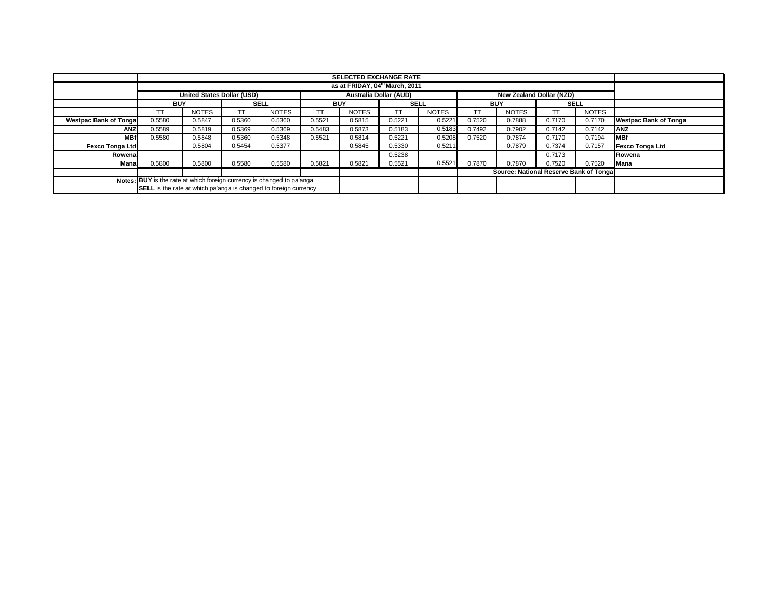|                              |                                                                         |                                            |             |              |            | <b>SELECTED EXCHANGE RATE</b> |             |              |            |                                        |             |              |                              |
|------------------------------|-------------------------------------------------------------------------|--------------------------------------------|-------------|--------------|------------|-------------------------------|-------------|--------------|------------|----------------------------------------|-------------|--------------|------------------------------|
|                              |                                                                         | as at FRIDAY, 04 <sup>th</sup> March, 2011 |             |              |            |                               |             |              |            |                                        |             |              |                              |
|                              |                                                                         | <b>United States Dollar (USD)</b>          |             |              |            | Australia Dollar (AUD)        |             |              |            | New Zealand Dollar (NZD)               |             |              |                              |
|                              | <b>BUY</b>                                                              |                                            | <b>SELL</b> |              | <b>BUY</b> |                               | <b>SELL</b> |              | <b>BUY</b> |                                        | <b>SELL</b> |              |                              |
|                              | TT                                                                      | <b>NOTES</b>                               |             | <b>NOTES</b> |            | <b>NOTES</b>                  | TΤ          | <b>NOTES</b> |            | <b>NOTES</b>                           |             | <b>NOTES</b> |                              |
| <b>Westpac Bank of Tonga</b> | 0.5580                                                                  | 0.5847                                     | 0.5360      | 0.5360       | 0.5521     | 0.5815                        | 0.5221      | 0.5221       | 0.7520     | 0.7888                                 | 0.7170      | 0.7170       | <b>Westpac Bank of Tonga</b> |
| <b>ANZ</b>                   | 0.5589                                                                  | 0.5819                                     | 0.5369      | 0.5369       | 0.5483     | 0.5873                        | 0.5183      | 0.5183       | 0.7492     | 0.7902                                 | 0.7142      | 0.7142       | <b>ANZ</b>                   |
| <b>MBf</b>                   | 0.5580                                                                  | 0.5848                                     | 0.5360      | 0.5348       | 0.5521     | 0.5814                        | 0.5221      | 0.5208       | 0.7520     | 0.7874                                 | 0.7170      | 0.7194       | <b>MBf</b>                   |
| <b>Fexco Tonga Ltd</b>       |                                                                         | 0.5804                                     | 0.5454      | 0.5377       |            | 0.5845                        | 0.5330      | 0.5211       |            | 0.7879                                 | 0.7374      | 0.7157       | <b>Fexco Tonga Ltd</b>       |
| Rowenal                      |                                                                         |                                            |             |              |            |                               | 0.5238      |              |            |                                        | 0.7173      |              | Rowena                       |
| Mana                         | 0.5800                                                                  | 0.5800                                     | 0.5580      | 0.5580       | 0.5821     | 0.5821                        | 0.5521      | 0.5521       | 0.7870     | 0.7870                                 | 0.7520      | 0.7520       | Mana                         |
|                              |                                                                         |                                            |             |              |            |                               |             |              |            | Source: National Reserve Bank of Tonga |             |              |                              |
|                              | Notes: BUY is the rate at which foreign currency is changed to pa'anga  |                                            |             |              |            |                               |             |              |            |                                        |             |              |                              |
|                              | <b>SELL</b> is the rate at which pa'anga is changed to foreign currency |                                            |             |              |            |                               |             |              |            |                                        |             |              |                              |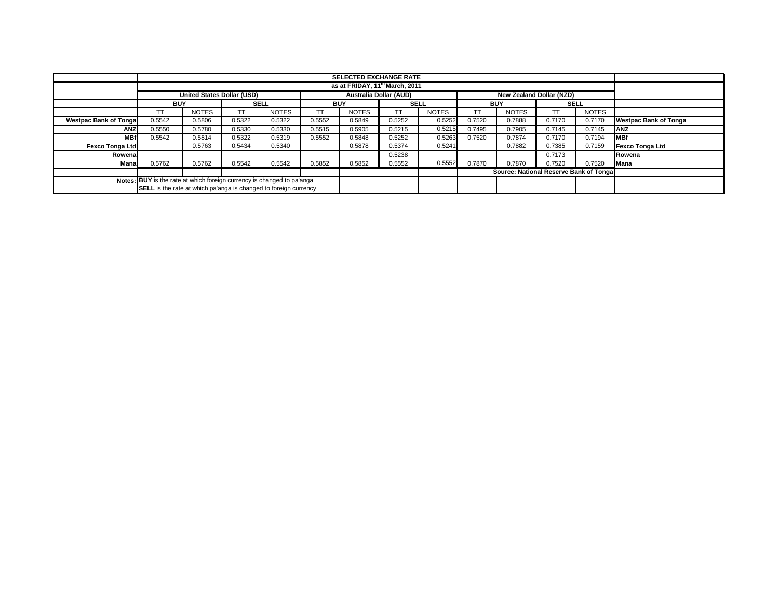|                              |                                                                                  |                                            |             |              |            | <b>SELECTED EXCHANGE RATE</b> |             |              |                                        |              |             |              |                              |
|------------------------------|----------------------------------------------------------------------------------|--------------------------------------------|-------------|--------------|------------|-------------------------------|-------------|--------------|----------------------------------------|--------------|-------------|--------------|------------------------------|
|                              |                                                                                  | as at FRIDAY, 11 <sup>th</sup> March, 2011 |             |              |            |                               |             |              |                                        |              |             |              |                              |
|                              | United States Dollar (USD)<br>New Zealand Dollar (NZD)<br>Australia Dollar (AUD) |                                            |             |              |            |                               |             |              |                                        |              |             |              |                              |
|                              | <b>BUY</b>                                                                       |                                            | <b>SELL</b> |              | <b>BUY</b> |                               | <b>SELL</b> |              | <b>BUY</b>                             |              | <b>SELL</b> |              |                              |
|                              | ТT                                                                               | <b>NOTES</b>                               |             | <b>NOTES</b> | <b>TT</b>  | <b>NOTES</b>                  |             | <b>NOTES</b> |                                        | <b>NOTES</b> |             | <b>NOTES</b> |                              |
| <b>Westpac Bank of Tonga</b> | 0.5542                                                                           | 0.5806                                     | 0.5322      | 0.5322       | 0.5552     | 0.5849                        | 0.5252      | 0.5252       | 0.7520                                 | 0.7888       | 0.7170      | 0.7170       | <b>Westpac Bank of Tonga</b> |
| ANZ                          | 0.5550                                                                           | 0.5780                                     | 0.5330      | 0.5330       | 0.5515     | 0.5905                        | 0.5215      | 0.5215       | 0.7495                                 | 0.7905       | 0.7145      | 0.7145       | <b>ANZ</b>                   |
| <b>MBf</b>                   | 0.5542                                                                           | 0.5814                                     | 0.5322      | 0.5319       | 0.5552     | 0.5848                        | 0.5252      | 0.5263       | 0.7520                                 | 0.7874       | 0.7170      | 0.7194       | <b>MBf</b>                   |
| <b>Fexco Tonga Ltd</b>       |                                                                                  | 0.5763                                     | 0.5434      | 0.5340       |            | 0.5878                        | 0.5374      | 0.5241       |                                        | 0.7882       | 0.7385      | 0.7159       | <b>Fexco Tonga Ltd</b>       |
| Rowenal                      |                                                                                  |                                            |             |              |            |                               | 0.5238      |              |                                        |              | 0.7173      |              | Rowena                       |
| Mana                         | 0.5762                                                                           | 0.5762                                     | 0.5542      | 0.5542       | 0.5852     | 0.5852                        | 0.5552      | 0.5552       | 0.7870                                 | 0.7870       | 0.7520      | 0.7520       | Mana                         |
|                              |                                                                                  |                                            |             |              |            |                               |             |              | Source: National Reserve Bank of Tonga |              |             |              |                              |
|                              | Notes: BUY is the rate at which foreign currency is changed to pa'anga           |                                            |             |              |            |                               |             |              |                                        |              |             |              |                              |
|                              | SELL is the rate at which pa'anga is changed to foreign currency                 |                                            |             |              |            |                               |             |              |                                        |              |             |              |                              |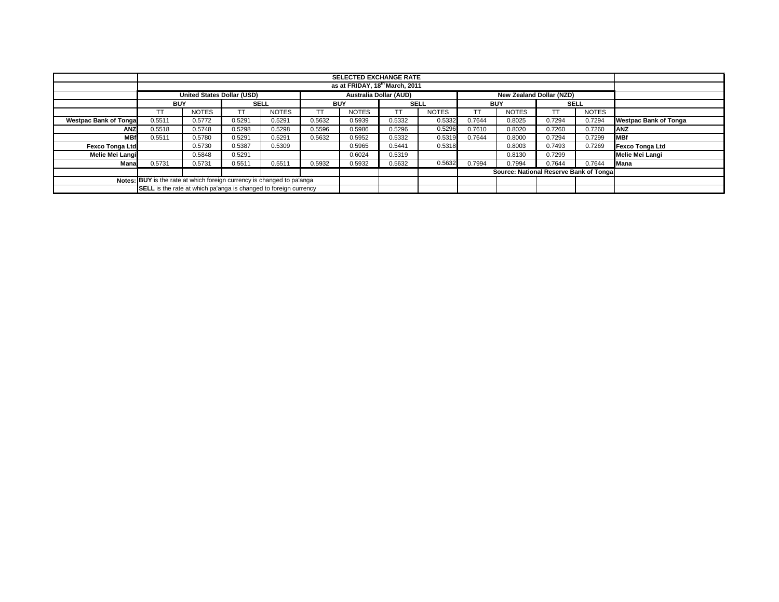|                              |                                                                                                                                            |              |             |              |            | <b>SELECTED EXCHANGE RATE</b> |             |              |                                        |                          |             |              |                              |
|------------------------------|--------------------------------------------------------------------------------------------------------------------------------------------|--------------|-------------|--------------|------------|-------------------------------|-------------|--------------|----------------------------------------|--------------------------|-------------|--------------|------------------------------|
|                              | as at FRIDAY, 18th March, 2011                                                                                                             |              |             |              |            |                               |             |              |                                        |                          |             |              |                              |
|                              | United States Dollar (USD)                                                                                                                 |              |             |              |            | Australia Dollar (AUD)        |             |              |                                        | New Zealand Dollar (NZD) |             |              |                              |
|                              | <b>BUY</b>                                                                                                                                 |              | <b>SELL</b> |              | <b>BUY</b> |                               | <b>SELL</b> |              | <b>BUY</b>                             |                          | <b>SELL</b> |              |                              |
|                              | ТT                                                                                                                                         | <b>NOTES</b> |             | <b>NOTES</b> | <b>TT</b>  | <b>NOTES</b>                  | TI          | <b>NOTES</b> |                                        | <b>NOTES</b>             |             | <b>NOTES</b> |                              |
| <b>Westpac Bank of Tonga</b> | 0.5511                                                                                                                                     | 0.5772       | 0.5291      | 0.5291       | 0.5632     | 0.5939                        | 0.5332      | 0.5332       | 0.7644                                 | 0.8025                   | 0.7294      | 0.7294       | <b>Westpac Bank of Tonga</b> |
| ANZ                          | 0.5518                                                                                                                                     | 0.5748       | 0.5298      | 0.5298       | 0.5596     | 0.5986                        | 0.5296      | 0.5296       | 0.7610                                 | 0.8020                   | 0.7260      | 0.7260       | <b>ANZ</b>                   |
| <b>MBf</b>                   | 0.5511                                                                                                                                     | 0.5780       | 0.5291      | 0.5291       | 0.5632     | 0.5952                        | 0.5332      | 0.5319       | 0.7644                                 | 0.8000                   | 0.7294      | 0.7299       | <b>MBf</b>                   |
| <b>Fexco Tonga Ltd</b>       |                                                                                                                                            | 0.5730       | 0.5387      | 0.5309       |            | 0.5965                        | 0.5441      | 0.5318       |                                        | 0.8003                   | 0.7493      | 0.7269       | <b>Fexco Tonga Ltd</b>       |
| Melie Mei Langi              |                                                                                                                                            | 0.5848       | 0.5291      |              |            | 0.6024                        | 0.5319      |              |                                        | 0.8130                   | 0.7299      |              | Melie Mei Langi              |
| Mana                         | 0.5731                                                                                                                                     | 0.5731       | 0.5511      | 0.5511       | 0.5932     | 0.5932                        | 0.5632      | 0.5632       | 0.7994                                 | 0.7994                   | 0.7644      | 0.7644       | Mana                         |
|                              |                                                                                                                                            |              |             |              |            |                               |             |              | Source: National Reserve Bank of Tonga |                          |             |              |                              |
|                              |                                                                                                                                            |              |             |              |            |                               |             |              |                                        |                          |             |              |                              |
|                              | Notes: BUY is the rate at which foreign currency is changed to pa'anga<br>SELL is the rate at which pa'anga is changed to foreign currency |              |             |              |            |                               |             |              |                                        |                          |             |              |                              |